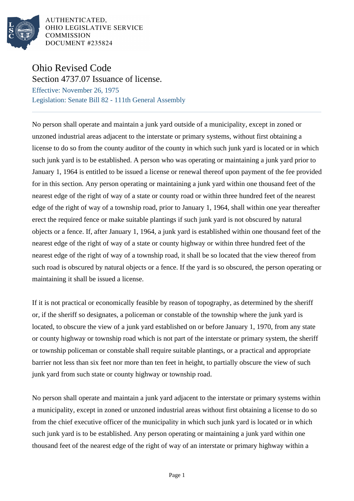

AUTHENTICATED, OHIO LEGISLATIVE SERVICE **COMMISSION** DOCUMENT #235824

## Ohio Revised Code

Section 4737.07 Issuance of license. Effective: November 26, 1975 Legislation: Senate Bill 82 - 111th General Assembly

No person shall operate and maintain a junk yard outside of a municipality, except in zoned or unzoned industrial areas adjacent to the interstate or primary systems, without first obtaining a license to do so from the county auditor of the county in which such junk yard is located or in which such junk yard is to be established. A person who was operating or maintaining a junk yard prior to January 1, 1964 is entitled to be issued a license or renewal thereof upon payment of the fee provided for in this section. Any person operating or maintaining a junk yard within one thousand feet of the nearest edge of the right of way of a state or county road or within three hundred feet of the nearest edge of the right of way of a township road, prior to January 1, 1964, shall within one year thereafter erect the required fence or make suitable plantings if such junk yard is not obscured by natural objects or a fence. If, after January 1, 1964, a junk yard is established within one thousand feet of the nearest edge of the right of way of a state or county highway or within three hundred feet of the nearest edge of the right of way of a township road, it shall be so located that the view thereof from such road is obscured by natural objects or a fence. If the yard is so obscured, the person operating or maintaining it shall be issued a license.

If it is not practical or economically feasible by reason of topography, as determined by the sheriff or, if the sheriff so designates, a policeman or constable of the township where the junk yard is located, to obscure the view of a junk yard established on or before January 1, 1970, from any state or county highway or township road which is not part of the interstate or primary system, the sheriff or township policeman or constable shall require suitable plantings, or a practical and appropriate barrier not less than six feet nor more than ten feet in height, to partially obscure the view of such junk yard from such state or county highway or township road.

No person shall operate and maintain a junk yard adjacent to the interstate or primary systems within a municipality, except in zoned or unzoned industrial areas without first obtaining a license to do so from the chief executive officer of the municipality in which such junk yard is located or in which such junk yard is to be established. Any person operating or maintaining a junk yard within one thousand feet of the nearest edge of the right of way of an interstate or primary highway within a